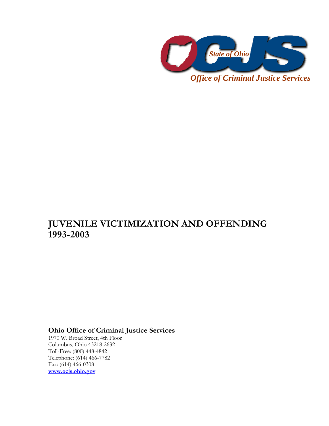

*Office of Criminal Justice Services* 

# **JUVENILE VICTIMIZATION AND OFFENDING 1993-2003**

**Ohio Office of Criminal Justice Services** 

1970 W. Broad Street, 4th Floor Columbus, Ohio 43218-2632 Toll-Free: (800) 448-4842 Telephone: (614) 466-7782 Fax: (614) 466-0308 **www.ocjs.ohio.gov**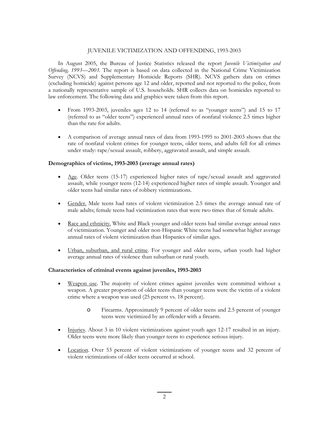### JUVENILE VICTIMIZATION AND OFFENDING, 1993-2003

In August 2005, the Bureau of Justice Statistics released the report *Juvenile Victimization and Offending, 1993—2003*. The report is based on data collected in the National Crime Victimization Survey (NCVS) and Supplementary Homicide Reports (SHR). NCVS gathers data on crimes (excluding homicide) against persons age 12 and older, reported and not reported to the police, from a nationally representative sample of U.S. households. SHR collects data on homicides reported to law enforcement. The following data and graphics were taken from this report.

- From 1993-2003, juveniles ages 12 to 14 (referred to as "younger teens") and 15 to 17 (referred to as "older teens") experienced annual rates of nonfatal violence 2.5 times higher than the rate for adults.
- A comparison of average annual rates of data from 1993-1995 to 2001-2003 shows that the rate of nonfatal violent crimes for younger teens, older teens, and adults fell for all crimes under study: rape/sexual assault, robbery, aggravated assault, and simple assault.

#### **Demographics of victims, 1993-2003 (average annual rates)**

- Age. Older teens (15-17) experienced higher rates of rape/sexual assault and aggravated assault, while younger teens (12-14) experienced higher rates of simple assault. Younger and older teens had similar rates of robbery victimizations.
- Gender. Male teens had rates of violent victimization 2.5 times the average annual rate of male adults; female teens had victimization rates that were two times that of female adults.
- Race and ethnicity. White and Black younger and older teens had similar average annual rates of victimization. Younger and older non-Hispanic White teens had somewhat higher average annual rates of violent victimization than Hispanics of similar ages.
- Urban, suburban, and rural crime. For younger and older teens, urban youth had higher average annual rates of violence than suburban or rural youth.

#### **Characteristics of criminal events against juveniles, 1993-2003**

- Weapon use. The majority of violent crimes against juveniles were committed without a weapon. A greater proportion of older teens than younger teens were the victim of a violent crime where a weapon was used (25 percent vs. 18 percent).
	- o Firearms. Approximately 9 percent of older teens and 2.5 percent of younger teens were victimized by an offender with a firearm.
- Injuries. About 3 in 10 violent victimizations against youth ages 12-17 resulted in an injury. Older teens were more likely than younger teens to experience serious injury.
- Location. Over 53 percent of violent victimizations of younger teens and 32 percent of violent victimizations of older teens occurred at school.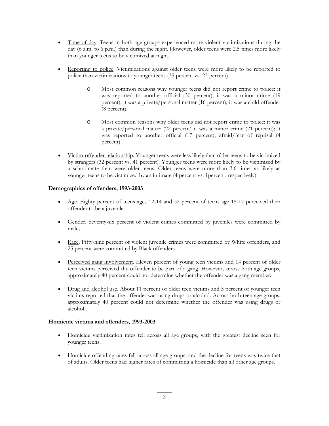- Time of day. Teens in both age groups experienced more violent victimizations during the day (6 a.m. to 6 p.m.) than during the night. However, older teens were 2.5 times more likely than younger teens to be victimized at night.
- Reporting to police. Victimizations against older teens were more likely to be reported to police than victimizations to younger teens (35 percent vs. 23 percent).
	- o Most common reasons why younger teens did not report crime to police: it was reported to another official (30 percent); it was a minor crime (19 percent); it was a private/personal matter (16 percent); it was a child offender (8 percent).
	- o Most common reasons why older teens did not report crime to police: it was a private/personal matter (22 percent) it was a minor crime (21 percent); it was reported to another official (17 percent); afraid/fear of reprisal (4 percent).
- Victim-offender relationship. Younger teens were less likely than older teens to be victimized by strangers (32 percent vs. 41 percent). Younger teens were more likely to be victimized by a schoolmate than were older teens. Older teens were more than 3.6 times as likely as younger teens to be victimized by an intimate (4 percent vs. 1percent, respectively).

## **Demographics of offenders, 1993-2003**

- $\Delta$ ge. Eighty percent of teens ages 12-14 and 52 percent of teens age 15-17 perceived their offender to be a juvenile.
- Gender. Seventy-six percent of violent crimes committed by juveniles were committed by males.
- Race. Fifty-nine percent of violent juvenile crimes were committed by White offenders, and 25 percent were committed by Black offenders.
- Perceived gang involvement. Eleven percent of young teen victims and 14 percent of older teen victims perceived the offender to be part of a gang. However, across both age groups, approximately 40 percent could not determine whether the offender was a gang member.
- Drug and alcohol use. About 11 percent of older teen victims and 5 percent of younger teen victims reported that the offender was using drugs or alcohol. Across both teen age groups, approximately 40 percent could not determine whether the offender was using drugs or alcohol.

#### **Homicide victims and offenders, 1993-2003**

- Homicide victimization rates fell across all age groups, with the greatest decline seen for younger teens.
- Homicide offending rates fell across all age groups, and the decline for teens was twice that of adults. Older teens had higher rates of committing a homicide than all other age groups.